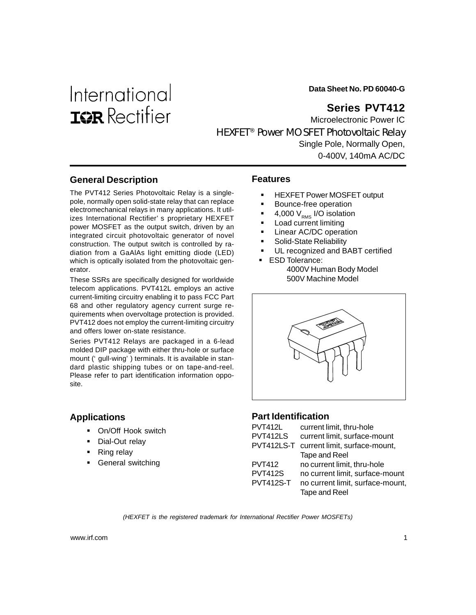# International **ISR** Rectifier

**Data Sheet No. PD 60040-G**

# **Series PVT412**

Microelectronic Power IC HEXFET® Power MOSFET Photovoltaic Relay Single Pole, Normally Open, 0-400V, 140mA AC/DC

# **General Description**

The PVT412 Series Photovoltaic Relay is a singlepole, normally open solid-state relay that can replace electromechanical relays in many applications. It utilizes International Rectifier's proprietary HEXFET power MOSFET as the output switch, driven by an integrated circuit photovoltaic generator of novel construction. The output switch is controlled by radiation from a GaAlAs light emitting diode (LED) which is optically isolated from the photovoltaic generator.

These SSRs are specifically designed for worldwide telecom applications. PVT412L employs an active current-limiting circuitry enabling it to pass FCC Part 68 and other regulatory agency current surge requirements when overvoltage protection is provided. PVT412 does not employ the current-limiting circuitry and offers lower on-state resistance.

Series PVT412 Relays are packaged in a 6-lead molded DIP package with either thru-hole or surface mount (' gull-wing') terminals. It is available in standard plastic shipping tubes or on tape-and-reel. Please refer to part identification information opposite.

#### **Applications**

- **On/Off Hook switch**
- **Dial-Out relay**
- Ring relay
- General switching

#### **Features**

- ! HEXFET Power MOSFET output
- Bounce-free operation
- 4,000  $V_{RMS}$  I/O isolation
- Load current limiting
- Linear AC/DC operation
- Solid-State Reliability
- UL recognized and BABT certified
- **ESD Tolerance:** 4000V Human Body Model 500V Machine Model



#### **Part Identification**

| <b>PVT412L</b>   | current limit, thru-hole         |
|------------------|----------------------------------|
| PVT412LS         | current limit, surface-mount     |
| PVT412LS-T       | current limit, surface-mount,    |
|                  | Tape and Reel                    |
| <b>PVT412</b>    | no current limit, thru-hole      |
| <b>PVT412S</b>   | no current limit, surface-mount  |
| <b>PVT412S-T</b> | no current limit, surface-mount, |
|                  | Tape and Reel                    |

*(HEXFET is the registered trademark for International Rectifier Power MOSFETs)*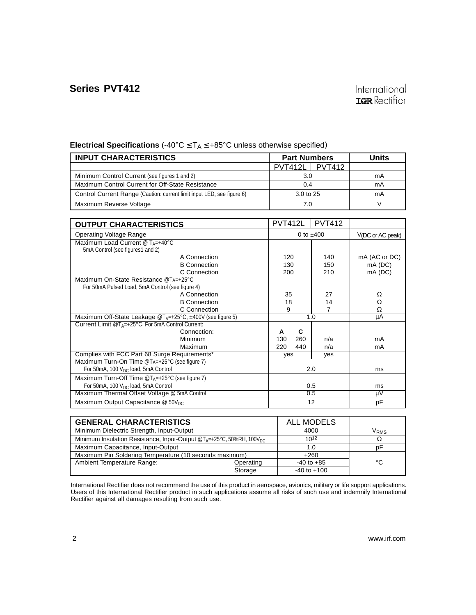#### **INPUT CHARACTERISTICS Part Numbers** Part Numbers Units PVT412L PVT412 Minimum Control Current (see figures 1 and 2) 3.0 3.0 mA Maximum Control Current for Off-State Resistance **0.4** 0.4 mA Control Current Range (Caution: current limit input LED, see figure 6) 3.0 to 25 mA Maximum Reverse Voltage **7.0** V **Electrical Specifications** (-40°C ≤ TA ≤ +85°C unless otherwise specified)

| <b>OUTPUT CHARACTERISTICS</b>                                                     |     | <b>PVT412L</b> | <b>PVT412</b>       |               |
|-----------------------------------------------------------------------------------|-----|----------------|---------------------|---------------|
| <b>Operating Voltage Range</b>                                                    |     | 0 to $±400$    | $V(DC)$ or AC peak) |               |
| Maximum Load Current @ TA=+40°C<br>5mA Control (see figures1 and 2)               |     |                |                     |               |
| A Connection                                                                      |     | 120            | 140                 | mA (AC or DC) |
| <b>B</b> Connection                                                               |     | 130            | 150                 | $mA$ (DC)     |
| C Connection                                                                      | 200 |                | 210                 | mA (DC)       |
| Maximum On-State Resistance @TA=+25°C                                             |     |                |                     |               |
| For 50mA Pulsed Load, 5mA Control (see figure 4)                                  |     |                |                     |               |
| A Connection                                                                      | 35  |                | 27                  | Ω             |
| <b>B</b> Connection                                                               | 18  |                | 14                  | Ω             |
| C Connection                                                                      | 9   |                | 7                   | Ω             |
| Maximum Off-State Leakage $\mathcal{Q}T_{A}=+25^{\circ}C_{1}+400V$ (see figure 5) |     | 1.0            | μA                  |               |
| Current Limit $@T_{A}=+25^{\circ}C$ , For 5mA Control Current:                    |     |                |                     |               |
| Connection:                                                                       | A   | C              |                     |               |
| Minimum                                                                           | 130 | 260            | n/a                 | mA            |
| Maximum                                                                           | 220 | 440            | n/a                 | mA            |
| Complies with FCC Part 68 Surge Requirements*                                     | yes |                | yes                 |               |
| Maximum Turn-On Time $@Ta=+25°C$ (see figure 7)                                   |     |                |                     |               |
| For 50mA, 100 $V_{DC}$ load, 5mA Control                                          |     | 2.0            | ms                  |               |
| Maximum Turn-Off Time $@T_A=+25°C$ (see figure 7)                                 |     |                |                     |               |
| For 50mA, 100 V <sub>DC</sub> load, 5mA Control                                   |     | 0.5            | ms                  |               |
| Maximum Thermal Offset Voltage @ 5mA Control                                      |     | 0.5            | μV                  |               |
| Maximum Output Capacitance $@$ 50V <sub>DC</sub>                                  |     | 12             | pF                  |               |

| <b>GENERAL CHARACTERISTICS</b>                                                                | <b>ALL MODELS</b> |                  |    |
|-----------------------------------------------------------------------------------------------|-------------------|------------------|----|
| Minimum Dielectric Strength, Input-Output                                                     | 4000              | V <sub>RMS</sub> |    |
| Minimum Insulation Resistance, Input-Output @T <sub>4</sub> =+25°C, 50%RH, 100V <sub>DC</sub> |                   | $10^{12}$        |    |
| Maximum Capacitance, Input-Output                                                             | 1.0               | p۲               |    |
| Maximum Pin Soldering Temperature (10 seconds maximum)                                        |                   | $+260$           |    |
| Ambient Temperature Range:                                                                    | Operating         | $-40$ to $+85$   | °C |
|                                                                                               | Storage           | $-40$ to $+100$  |    |

International Rectifier does not recommend the use of this product in aerospace, avionics, military or life support applications. Users of this International Rectifier product in such applications assume all risks of such use and indemnify International Rectifier against all damages resulting from such use.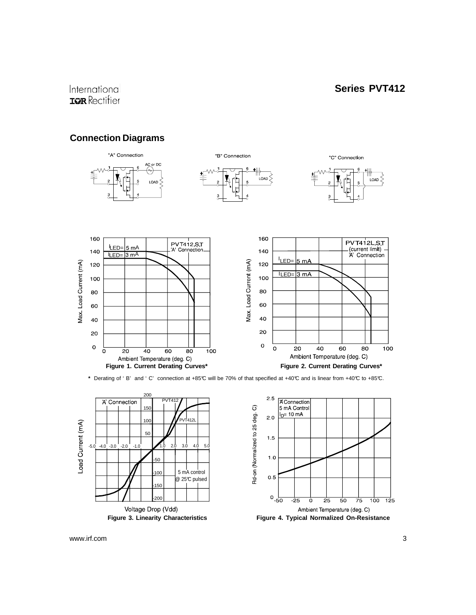# International **ISR** Rectifier

#### **Connection Diagrams**



**\*** Derating of 'B' and 'C' connection at +85°C will be 70% of that specified at +40°C and is linear from +40°C to +85°C.





www.irf.com 3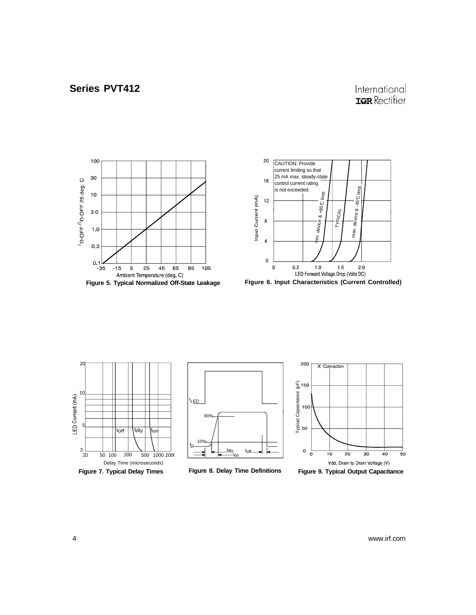# International **IQR** Rectifier













**Figure 8. Delay Time Definitions**